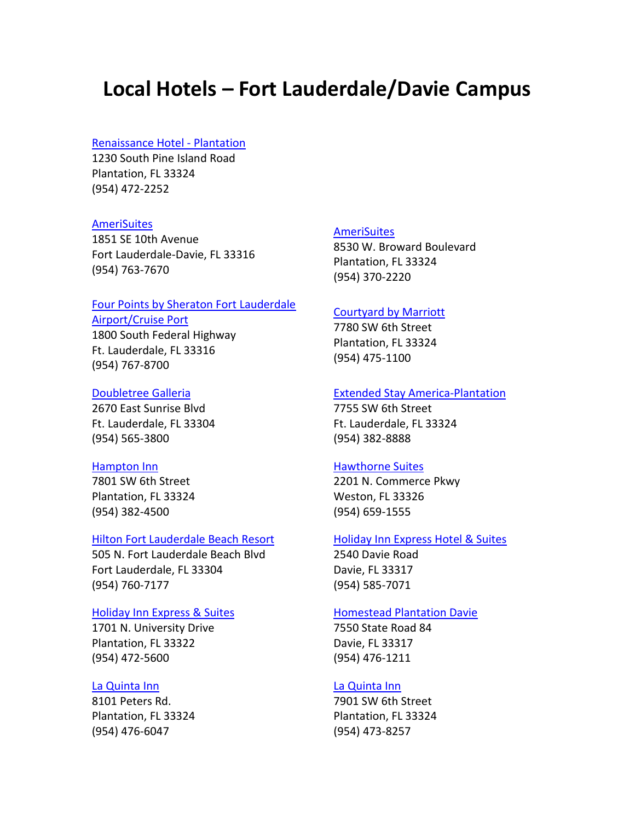# **Local Hotels – Fort Lauderdale/Davie Campus**

## [Renaissance Hotel -](http://marriott.com/property/propertypage/FLLRP) Plantation

1230 South Pine Island Road Plantation, FL 33324 (954) 472-2252

## **[AmeriSuites](http://www.amerisuites.com/reservations/locationdetail.asp?facid=3929)**

1851 SE 10th Avenue Fort Lauderdale-Davie, FL 33316 (954) 763-7670

# Four Points by Sheraton Fort Lauderdale

[Airport/Cruise Port](http://www.fourpointsfortlauderdaleairport.com/) 1800 South Federal Highway Ft. Lauderdale, FL 33316

(954) 767-8700

# [Doubletree Galleria](http://www.doubletreegalleria.com/)

2670 East Sunrise Blvd Ft. Lauderdale, FL 33304 (954) 565-3800

#### [Hampton Inn](http://hamptoninn.hilton.com/en/hp/hotels/index.jhtml;?ctyhocn=FLLPTHX)

7801 SW 6th Street Plantation, FL 33324 (954) 382-4500

#### [Hilton Fort Lauderdale Beach Resort](http://www.hilton.com/en/hi/hotels/index.jhtml?ctyhocn=FLLFSHH)

505 N. Fort Lauderdale Beach Blvd Fort Lauderdale, FL 33304 (954) 760-7177

## [Holiday Inn Express & Suites](http://www.ihg.com/hotels/us/en/reservation)

1701 N. University Drive Plantation, FL 33322 (954) 472-5600

### [La Quinta Inn](http://www.lq.com/lq/properties/propertyProfile.do?ident=LQ982&propId=982)

8101 Peters Rd. Plantation, FL 33324 (954) 476-6047

#### **[AmeriSuites](http://www.amerisuites.com/reservations/locationdetail.asp?facid=3931)**

8530 W. Broward Boulevard Plantation, FL 33324 (954) 370-2220

#### [Courtyard by Marriott](http://marriott.com/property/propertypage/FLlpl)

7780 SW 6th Street Plantation, FL 33324 (954) 475-1100

## [Extended Stay America-Plantation](http://www.extendedstayamerica.com/minisite/?page=minisite&hotelID=629)

7755 SW 6th Street Ft. Lauderdale, FL 33324 (954) 382-8888

#### [Hawthorne Suites](http://www.hawthorn.com/Hawthorn/control/Booking/property_info?propertyId=30494&brandInfo=BH&cid=ROMLBCHW)

2201 N. Commerce Pkwy Weston, FL 33326 (954) 659-1555

#### [Holiday Inn Express Hotel & Suites](http://www.ihg.com/hotels/us/en/reservation)

2540 Davie Road Davie, FL 33317 (954) 585-7071

### [Homestead Plantation Davie](http://www.homesteadhotels.com/minisite/?hotelID=96)

7550 State Road 84 Davie, FL 33317 (954) 476-1211

## [La Quinta Inn](http://7711.lq.com/)

7901 SW 6th Street Plantation, FL 33324 (954) 473-8257